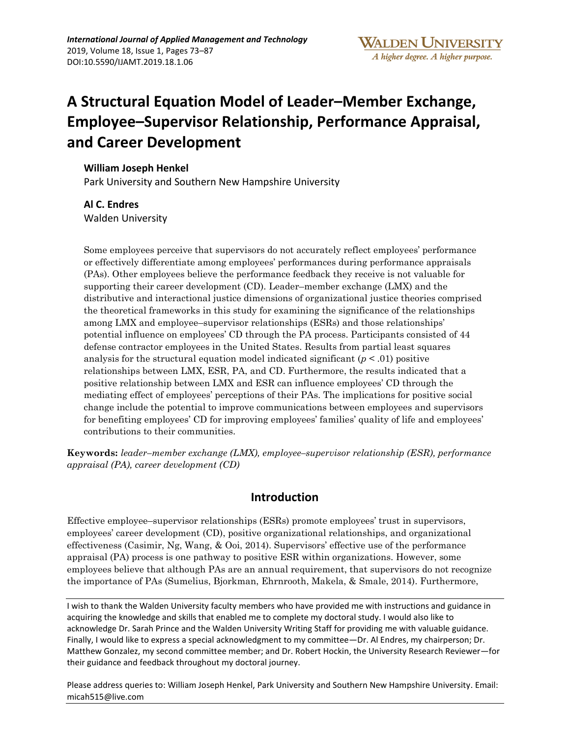# **A Structural Equation Model of Leader–Member Exchange, Employee–Supervisor Relationship, Performance Appraisal, and Career Development**

## **William Joseph Henkel**

Park University and Southern New Hampshire University

# **Al C. Endres**  Walden University

Some employees perceive that supervisors do not accurately reflect employees' performance or effectively differentiate among employees' performances during performance appraisals (PAs). Other employees believe the performance feedback they receive is not valuable for supporting their career development (CD). Leader–member exchange (LMX) and the distributive and interactional justice dimensions of organizational justice theories comprised the theoretical frameworks in this study for examining the significance of the relationships among LMX and employee–supervisor relationships (ESRs) and those relationships' potential influence on employees' CD through the PA process. Participants consisted of 44 defense contractor employees in the United States. Results from partial least squares analysis for the structural equation model indicated significant  $(p < .01)$  positive relationships between LMX, ESR, PA, and CD. Furthermore, the results indicated that a positive relationship between LMX and ESR can influence employees' CD through the mediating effect of employees' perceptions of their PAs. The implications for positive social change include the potential to improve communications between employees and supervisors for benefiting employees' CD for improving employees' families' quality of life and employees' contributions to their communities.

**Keywords:** *leader–member exchange (LMX), employee–supervisor relationship (ESR), performance appraisal (PA), career development (CD)*

# **Introduction**

Effective employee–supervisor relationships (ESRs) promote employees' trust in supervisors, employees' career development (CD), positive organizational relationships, and organizational effectiveness (Casimir, Ng, Wang, & Ooi, 2014). Supervisors' effective use of the performance appraisal (PA) process is one pathway to positive ESR within organizations. However, some employees believe that although PAs are an annual requirement, that supervisors do not recognize the importance of PAs (Sumelius, Bjorkman, Ehrnrooth, Makela, & Smale, 2014). Furthermore,

I wish to thank the Walden University faculty members who have provided me with instructions and guidance in acquiring the knowledge and skills that enabled me to complete my doctoral study. I would also like to acknowledge Dr. Sarah Prince and the Walden University Writing Staff for providing me with valuable guidance. Finally, I would like to express a special acknowledgment to my committee—Dr. Al Endres, my chairperson; Dr. Matthew Gonzalez, my second committee member; and Dr. Robert Hockin, the University Research Reviewer—for their guidance and feedback throughout my doctoral journey.

Please address queries to: William Joseph Henkel, Park University and Southern New Hampshire University. Email: micah515@live.com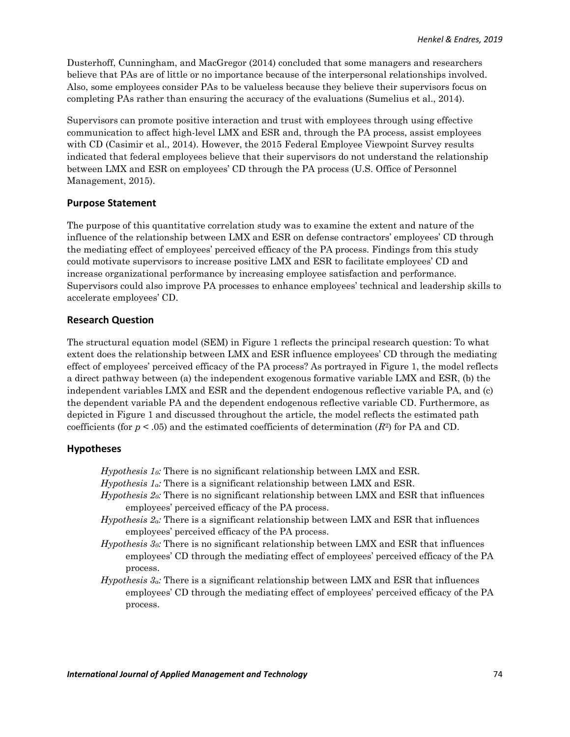Dusterhoff, Cunningham, and MacGregor (2014) concluded that some managers and researchers believe that PAs are of little or no importance because of the interpersonal relationships involved. Also, some employees consider PAs to be valueless because they believe their supervisors focus on completing PAs rather than ensuring the accuracy of the evaluations (Sumelius et al., 2014).

Supervisors can promote positive interaction and trust with employees through using effective communication to affect high-level LMX and ESR and, through the PA process, assist employees with CD (Casimir et al., 2014). However, the 2015 Federal Employee Viewpoint Survey results indicated that federal employees believe that their supervisors do not understand the relationship between LMX and ESR on employees' CD through the PA process (U.S. Office of Personnel Management, 2015).

#### **Purpose Statement**

The purpose of this quantitative correlation study was to examine the extent and nature of the influence of the relationship between LMX and ESR on defense contractors' employees' CD through the mediating effect of employees' perceived efficacy of the PA process. Findings from this study could motivate supervisors to increase positive LMX and ESR to facilitate employees' CD and increase organizational performance by increasing employee satisfaction and performance. Supervisors could also improve PA processes to enhance employees' technical and leadership skills to accelerate employees' CD.

#### **Research Question**

The structural equation model (SEM) in Figure 1 reflects the principal research question: To what extent does the relationship between LMX and ESR influence employees' CD through the mediating effect of employees' perceived efficacy of the PA process? As portrayed in Figure 1, the model reflects a direct pathway between (a) the independent exogenous formative variable LMX and ESR, (b) the independent variables LMX and ESR and the dependent endogenous reflective variable PA, and (c) the dependent variable PA and the dependent endogenous reflective variable CD. Furthermore, as depicted in Figure 1 and discussed throughout the article, the model reflects the estimated path coefficients (for  $p < .05$ ) and the estimated coefficients of determination  $(R^2)$  for PA and CD.

#### **Hypotheses**

- *Hypothesis 10:* There is no significant relationship between LMX and ESR.
- *Hypothesis 1a:* There is a significant relationship between LMX and ESR.
- *Hypothesis 20:* There is no significant relationship between LMX and ESR that influences employees' perceived efficacy of the PA process.
- *Hypothesis 2a:* There is a significant relationship between LMX and ESR that influences employees' perceived efficacy of the PA process.
- *Hypothesis 30:* There is no significant relationship between LMX and ESR that influences employees' CD through the mediating effect of employees' perceived efficacy of the PA process.
- *Hypothesis 3a:* There is a significant relationship between LMX and ESR that influences employees' CD through the mediating effect of employees' perceived efficacy of the PA process.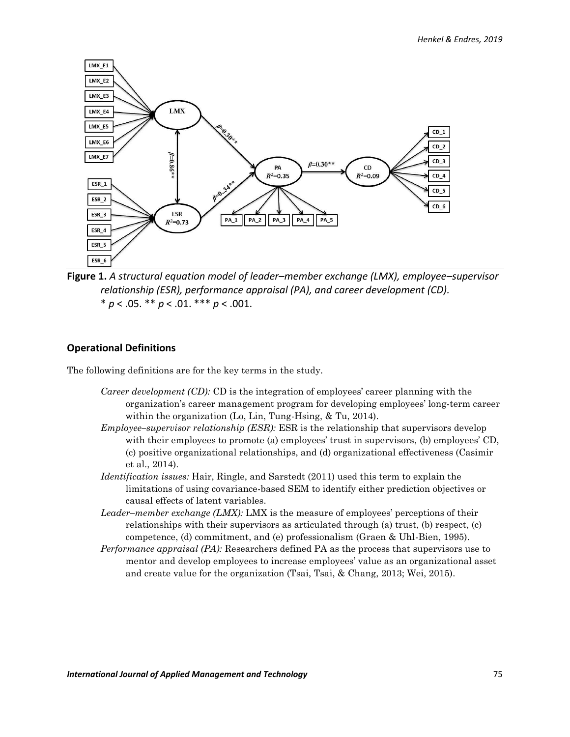

**Figure 1.** *A structural equation model of leader–member exchange (LMX), employee–supervisor relationship (ESR), performance appraisal (PA), and career development (CD).*  $* p < .05. ** p < .01.*** p < .001.$ 

#### **Operational Definitions**

The following definitions are for the key terms in the study.

- *Career development (CD):* CD is the integration of employees' career planning with the organization's career management program for developing employees' long-term career within the organization (Lo, Lin, Tung-Hsing, & Tu, 2014).
- *Employee–supervisor relationship (ESR):* ESR is the relationship that supervisors develop with their employees to promote (a) employees' trust in supervisors, (b) employees' CD, (c) positive organizational relationships, and (d) organizational effectiveness (Casimir et al., 2014).
- *Identification issues:* Hair, Ringle, and Sarstedt (2011) used this term to explain the limitations of using covariance-based SEM to identify either prediction objectives or causal effects of latent variables.
- *Leader–member exchange (LMX):* LMX is the measure of employees' perceptions of their relationships with their supervisors as articulated through (a) trust, (b) respect, (c) competence, (d) commitment, and (e) professionalism (Graen & Uhl-Bien, 1995).
- *Performance appraisal (PA):* Researchers defined PA as the process that supervisors use to mentor and develop employees to increase employees' value as an organizational asset and create value for the organization (Tsai, Tsai, & Chang, 2013; Wei, 2015).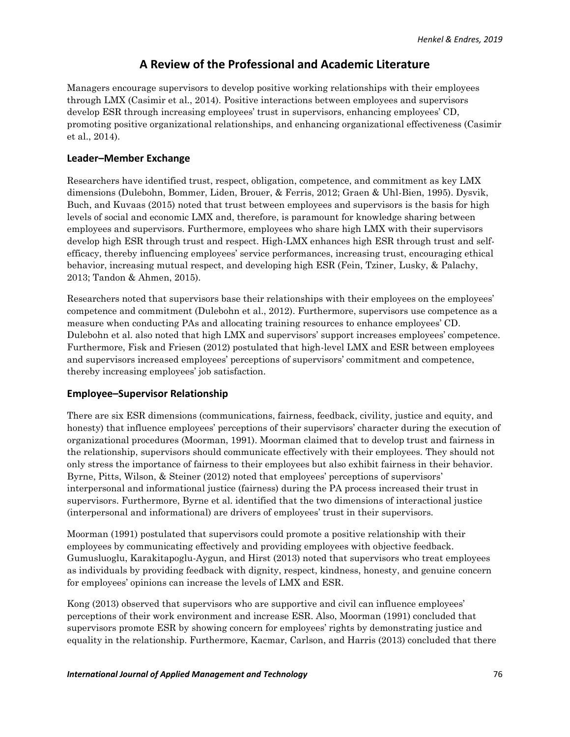# **A Review of the Professional and Academic Literature**

Managers encourage supervisors to develop positive working relationships with their employees through LMX (Casimir et al., 2014). Positive interactions between employees and supervisors develop ESR through increasing employees' trust in supervisors, enhancing employees' CD, promoting positive organizational relationships, and enhancing organizational effectiveness (Casimir et al., 2014).

### **Leader–Member Exchange**

Researchers have identified trust, respect, obligation, competence, and commitment as key LMX dimensions (Dulebohn, Bommer, Liden, Brouer, & Ferris, 2012; Graen & Uhl-Bien, 1995). Dysvik, Buch, and Kuvaas (2015) noted that trust between employees and supervisors is the basis for high levels of social and economic LMX and, therefore, is paramount for knowledge sharing between employees and supervisors. Furthermore, employees who share high LMX with their supervisors develop high ESR through trust and respect. High-LMX enhances high ESR through trust and selfefficacy, thereby influencing employees' service performances, increasing trust, encouraging ethical behavior, increasing mutual respect, and developing high ESR (Fein, Tziner, Lusky, & Palachy, 2013; Tandon & Ahmen, 2015).

Researchers noted that supervisors base their relationships with their employees on the employees' competence and commitment (Dulebohn et al., 2012). Furthermore, supervisors use competence as a measure when conducting PAs and allocating training resources to enhance employees' CD. Dulebohn et al. also noted that high LMX and supervisors' support increases employees' competence. Furthermore, Fisk and Friesen (2012) postulated that high-level LMX and ESR between employees and supervisors increased employees' perceptions of supervisors' commitment and competence, thereby increasing employees' job satisfaction.

### **Employee–Supervisor Relationship**

There are six ESR dimensions (communications, fairness, feedback, civility, justice and equity, and honesty) that influence employees' perceptions of their supervisors' character during the execution of organizational procedures (Moorman, 1991). Moorman claimed that to develop trust and fairness in the relationship, supervisors should communicate effectively with their employees. They should not only stress the importance of fairness to their employees but also exhibit fairness in their behavior. Byrne, Pitts, Wilson, & Steiner (2012) noted that employees' perceptions of supervisors' interpersonal and informational justice (fairness) during the PA process increased their trust in supervisors. Furthermore, Byrne et al. identified that the two dimensions of interactional justice (interpersonal and informational) are drivers of employees' trust in their supervisors.

Moorman (1991) postulated that supervisors could promote a positive relationship with their employees by communicating effectively and providing employees with objective feedback. Gumusluoglu, Karakitapoglu-Aygun, and Hirst (2013) noted that supervisors who treat employees as individuals by providing feedback with dignity, respect, kindness, honesty, and genuine concern for employees' opinions can increase the levels of LMX and ESR.

Kong (2013) observed that supervisors who are supportive and civil can influence employees' perceptions of their work environment and increase ESR. Also, Moorman (1991) concluded that supervisors promote ESR by showing concern for employees' rights by demonstrating justice and equality in the relationship. Furthermore, Kacmar, Carlson, and Harris (2013) concluded that there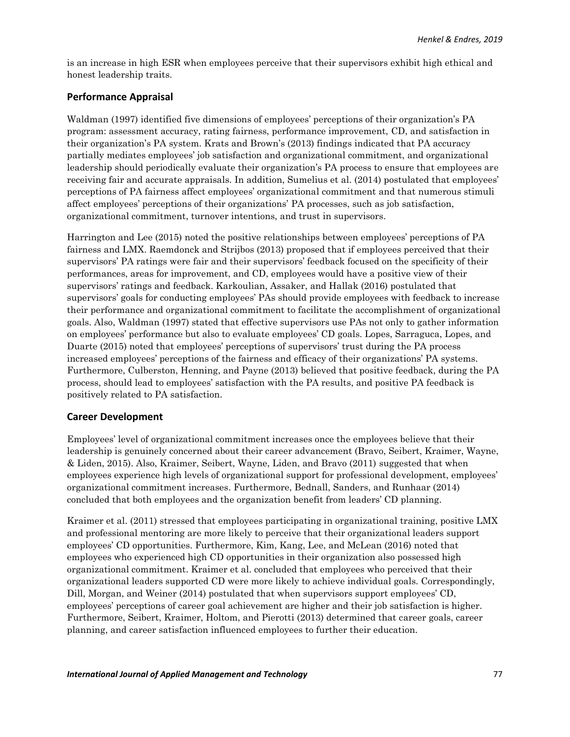is an increase in high ESR when employees perceive that their supervisors exhibit high ethical and honest leadership traits.

# **Performance Appraisal**

Waldman (1997) identified five dimensions of employees' perceptions of their organization's PA program: assessment accuracy, rating fairness, performance improvement, CD, and satisfaction in their organization's PA system. Krats and Brown's (2013) findings indicated that PA accuracy partially mediates employees' job satisfaction and organizational commitment, and organizational leadership should periodically evaluate their organization's PA process to ensure that employees are receiving fair and accurate appraisals. In addition, Sumelius et al. (2014) postulated that employees' perceptions of PA fairness affect employees' organizational commitment and that numerous stimuli affect employees' perceptions of their organizations' PA processes, such as job satisfaction, organizational commitment, turnover intentions, and trust in supervisors.

Harrington and Lee (2015) noted the positive relationships between employees' perceptions of PA fairness and LMX. Raemdonck and Strijbos (2013) proposed that if employees perceived that their supervisors' PA ratings were fair and their supervisors' feedback focused on the specificity of their performances, areas for improvement, and CD, employees would have a positive view of their supervisors' ratings and feedback. Karkoulian, Assaker, and Hallak (2016) postulated that supervisors' goals for conducting employees' PAs should provide employees with feedback to increase their performance and organizational commitment to facilitate the accomplishment of organizational goals. Also, Waldman (1997) stated that effective supervisors use PAs not only to gather information on employees' performance but also to evaluate employees' CD goals. Lopes, Sarraguca, Lopes, and Duarte (2015) noted that employees' perceptions of supervisors' trust during the PA process increased employees' perceptions of the fairness and efficacy of their organizations' PA systems. Furthermore, Culberston, Henning, and Payne (2013) believed that positive feedback, during the PA process, should lead to employees' satisfaction with the PA results, and positive PA feedback is positively related to PA satisfaction.

# **Career Development**

Employees' level of organizational commitment increases once the employees believe that their leadership is genuinely concerned about their career advancement (Bravo, Seibert, Kraimer, Wayne, & Liden, 2015). Also, Kraimer, Seibert, Wayne, Liden, and Bravo (2011) suggested that when employees experience high levels of organizational support for professional development, employees' organizational commitment increases. Furthermore, Bednall, Sanders, and Runhaar (2014) concluded that both employees and the organization benefit from leaders' CD planning.

Kraimer et al. (2011) stressed that employees participating in organizational training, positive LMX and professional mentoring are more likely to perceive that their organizational leaders support employees' CD opportunities. Furthermore, Kim, Kang, Lee, and McLean (2016) noted that employees who experienced high CD opportunities in their organization also possessed high organizational commitment. Kraimer et al. concluded that employees who perceived that their organizational leaders supported CD were more likely to achieve individual goals. Correspondingly, Dill, Morgan, and Weiner (2014) postulated that when supervisors support employees' CD, employees' perceptions of career goal achievement are higher and their job satisfaction is higher. Furthermore, Seibert, Kraimer, Holtom, and Pierotti (2013) determined that career goals, career planning, and career satisfaction influenced employees to further their education.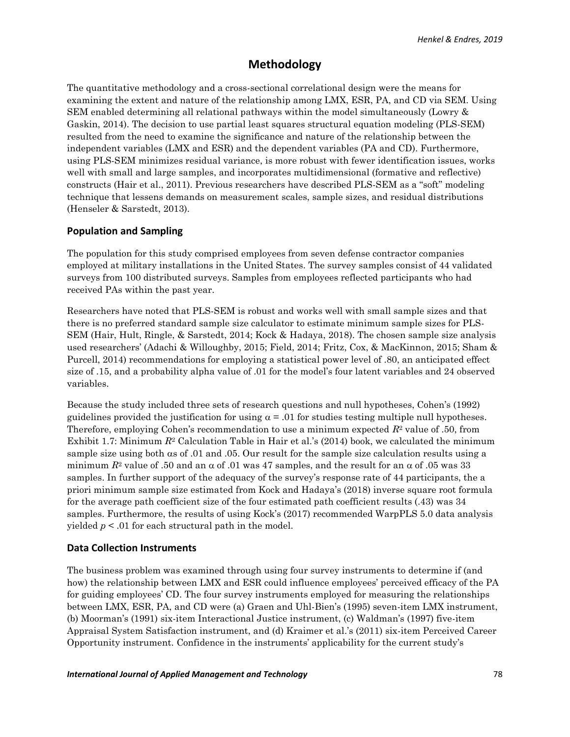# **Methodology**

The quantitative methodology and a cross-sectional correlational design were the means for examining the extent and nature of the relationship among LMX, ESR, PA, and CD via SEM. Using SEM enabled determining all relational pathways within the model simultaneously (Lowry & Gaskin, 2014). The decision to use partial least squares structural equation modeling (PLS-SEM) resulted from the need to examine the significance and nature of the relationship between the independent variables (LMX and ESR) and the dependent variables (PA and CD). Furthermore, using PLS-SEM minimizes residual variance, is more robust with fewer identification issues, works well with small and large samples, and incorporates multidimensional (formative and reflective) constructs (Hair et al., 2011). Previous researchers have described PLS-SEM as a "soft" modeling technique that lessens demands on measurement scales, sample sizes, and residual distributions (Henseler & Sarstedt, 2013).

#### **Population and Sampling**

The population for this study comprised employees from seven defense contractor companies employed at military installations in the United States. The survey samples consist of 44 validated surveys from 100 distributed surveys. Samples from employees reflected participants who had received PAs within the past year.

Researchers have noted that PLS-SEM is robust and works well with small sample sizes and that there is no preferred standard sample size calculator to estimate minimum sample sizes for PLS-SEM (Hair, Hult, Ringle, & Sarstedt, 2014; Kock & Hadaya, 2018). The chosen sample size analysis used researchers' (Adachi & Willoughby, 2015; Field, 2014; Fritz, Cox, & MacKinnon, 2015; Sham & Purcell, 2014) recommendations for employing a statistical power level of .80, an anticipated effect size of .15, and a probability alpha value of .01 for the model's four latent variables and 24 observed variables.

Because the study included three sets of research questions and null hypotheses, Cohen's (1992) guidelines provided the justification for using  $\alpha = .01$  for studies testing multiple null hypotheses. Therefore, employing Cohen's recommendation to use a minimum expected *R*<sup>2</sup> value of .50, from Exhibit 1.7: Minimum  $R^2$  Calculation Table in Hair et al.'s (2014) book, we calculated the minimum sample size using both  $\alpha$ s of .01 and .05. Our result for the sample size calculation results using a minimum  $R^2$  value of .50 and an  $\alpha$  of .01 was 47 samples, and the result for an  $\alpha$  of .05 was 33 samples. In further support of the adequacy of the survey's response rate of 44 participants, the a priori minimum sample size estimated from Kock and Hadaya's (2018) inverse square root formula for the average path coefficient size of the four estimated path coefficient results (.43) was 34 samples. Furthermore, the results of using Kock's (2017) recommended WarpPLS 5.0 data analysis yielded *p* < .01 for each structural path in the model.

#### **Data Collection Instruments**

The business problem was examined through using four survey instruments to determine if (and how) the relationship between LMX and ESR could influence employees' perceived efficacy of the PA for guiding employees' CD. The four survey instruments employed for measuring the relationships between LMX, ESR, PA, and CD were (a) Graen and Uhl-Bien's (1995) seven-item LMX instrument, (b) Moorman's (1991) six-item Interactional Justice instrument, (c) Waldman's (1997) five-item Appraisal System Satisfaction instrument, and (d) Kraimer et al.'s (2011) six-item Perceived Career Opportunity instrument. Confidence in the instruments' applicability for the current study's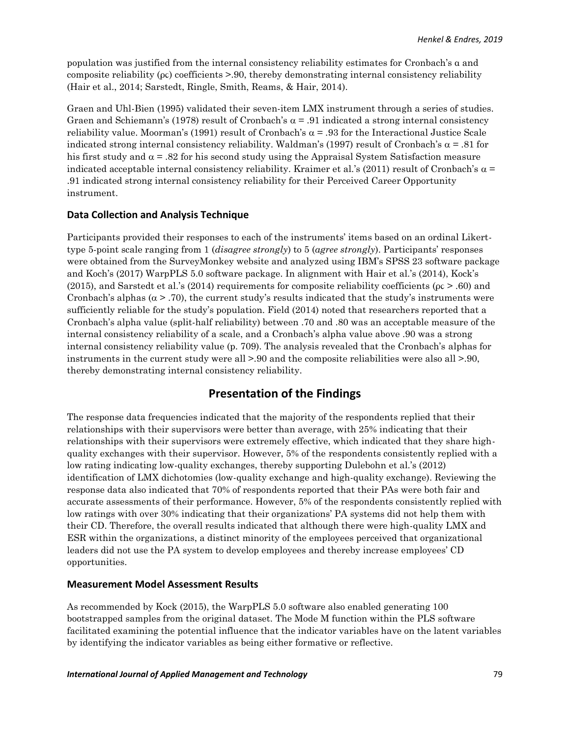population was justified from the internal consistency reliability estimates for Cronbach's α and composite reliability (ρϲ) coefficients >.90, thereby demonstrating internal consistency reliability (Hair et al., 2014; Sarstedt, Ringle, Smith, Reams, & Hair, 2014).

Graen and Uhl-Bien (1995) validated their seven-item LMX instrument through a series of studies. Graen and Schiemann's (1978) result of Cronbach's  $\alpha$  = .91 indicated a strong internal consistency reliability value. Moorman's (1991) result of Cronbach's  $\alpha$  = .93 for the Interactional Justice Scale indicated strong internal consistency reliability. Waldman's (1997) result of Cronbach's  $\alpha$  = .81 for his first study and  $\alpha = .82$  for his second study using the Appraisal System Satisfaction measure indicated acceptable internal consistency reliability. Kraimer et al.'s (2011) result of Cronbach's  $\alpha$  = .91 indicated strong internal consistency reliability for their Perceived Career Opportunity instrument.

# **Data Collection and Analysis Technique**

Participants provided their responses to each of the instruments' items based on an ordinal Likerttype 5-point scale ranging from 1 (*disagree strongly*) to 5 (*agree strongly*). Participants' responses were obtained from the SurveyMonkey website and analyzed using IBM's SPSS 23 software package and Koch's (2017) WarpPLS 5.0 software package. In alignment with Hair et al.'s (2014), Kock's (2015), and Sarstedt et al.'s (2014) requirements for composite reliability coefficients ( $\mu$ c > .60) and Cronbach's alphas  $(\alpha > .70)$ , the current study's results indicated that the study's instruments were sufficiently reliable for the study's population. Field (2014) noted that researchers reported that a Cronbach's alpha value (split-half reliability) between .70 and .80 was an acceptable measure of the internal consistency reliability of a scale, and a Cronbach's alpha value above .90 was a strong internal consistency reliability value (p. 709). The analysis revealed that the Cronbach's alphas for instruments in the current study were all >.90 and the composite reliabilities were also all >.90, thereby demonstrating internal consistency reliability.

# **Presentation of the Findings**

The response data frequencies indicated that the majority of the respondents replied that their relationships with their supervisors were better than average, with 25% indicating that their relationships with their supervisors were extremely effective, which indicated that they share highquality exchanges with their supervisor. However, 5% of the respondents consistently replied with a low rating indicating low-quality exchanges, thereby supporting Dulebohn et al.'s (2012) identification of LMX dichotomies (low-quality exchange and high-quality exchange). Reviewing the response data also indicated that 70% of respondents reported that their PAs were both fair and accurate assessments of their performance. However, 5% of the respondents consistently replied with low ratings with over 30% indicating that their organizations' PA systems did not help them with their CD. Therefore, the overall results indicated that although there were high-quality LMX and ESR within the organizations, a distinct minority of the employees perceived that organizational leaders did not use the PA system to develop employees and thereby increase employees' CD opportunities.

# **Measurement Model Assessment Results**

As recommended by Kock (2015), the WarpPLS 5.0 software also enabled generating 100 bootstrapped samples from the original dataset. The Mode M function within the PLS software facilitated examining the potential influence that the indicator variables have on the latent variables by identifying the indicator variables as being either formative or reflective.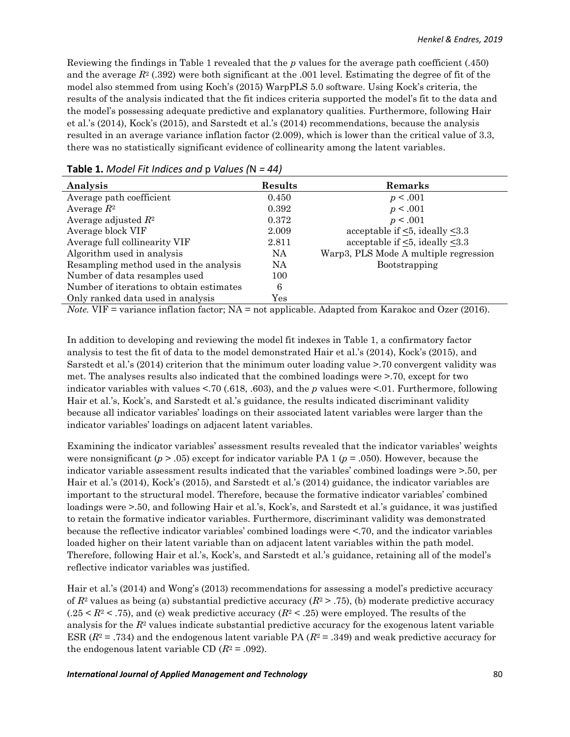Reviewing the findings in Table 1 revealed that the *p* values for the average path coefficient (.450) and the average *R*<sup>2</sup> (.392) were both significant at the .001 level. Estimating the degree of fit of the model also stemmed from using Koch's (2015) WarpPLS 5.0 software. Using Kock's criteria, the results of the analysis indicated that the fit indices criteria supported the model's fit to the data and the model's possessing adequate predictive and explanatory qualities. Furthermore, following Hair et al.'s (2014), Kock's (2015), and Sarstedt et al.'s (2014) recommendations, because the analysis resulted in an average variance inflation factor (2.009), which is lower than the critical value of 3.3, there was no statistically significant evidence of collinearity among the latent variables.

| Analysis                                 | Results              | Remarks                                     |
|------------------------------------------|----------------------|---------------------------------------------|
| Average path coefficient                 | 0.450                | p < .001                                    |
| Average $R^2$                            | 0.392                | p < .001                                    |
| Average adjusted $R^2$                   | 0.372                | p < .001                                    |
| Average block VIF                        | 2.009                | acceptable if $\leq 5$ , ideally $\leq 3.3$ |
| Average full collinearity VIF            | 2.811                | acceptable if $\leq 5$ , ideally $\leq 3.3$ |
| Algorithm used in analysis               | NA.                  | Warp3, PLS Mode A multiple regression       |
| Resampling method used in the analysis   | <b>NA</b>            | Bootstrapping                               |
| Number of data resamples used            | 100                  |                                             |
| Number of iterations to obtain estimates | 6                    |                                             |
| Only ranked data used in analysis        | $\operatorname{Yes}$ |                                             |

#### **Table 1.** *Model Fit Indices and* p *Values (*N *= 44)*

*Note.* VIF = variance inflation factor; NA = not applicable. Adapted from Karakoc and Ozer (2016).

In addition to developing and reviewing the model fit indexes in Table 1, a confirmatory factor analysis to test the fit of data to the model demonstrated Hair et al.'s (2014), Kock's (2015), and Sarstedt et al.'s (2014) criterion that the minimum outer loading value >.70 convergent validity was met. The analyses results also indicated that the combined loadings were >.70, except for two indicator variables with values <.70 (.618, .603), and the *p* values were <.01. Furthermore, following Hair et al.'s, Kock's, and Sarstedt et al.'s guidance, the results indicated discriminant validity because all indicator variables' loadings on their associated latent variables were larger than the indicator variables' loadings on adjacent latent variables.

Examining the indicator variables' assessment results revealed that the indicator variables' weights were nonsignificant  $(p > .05)$  except for indicator variable PA 1  $(p = .050)$ . However, because the indicator variable assessment results indicated that the variables' combined loadings were >.50, per Hair et al.'s (2014), Kock's (2015), and Sarstedt et al.'s (2014) guidance, the indicator variables are important to the structural model. Therefore, because the formative indicator variables' combined loadings were >.50, and following Hair et al.'s, Kock's, and Sarstedt et al.'s guidance, it was justified to retain the formative indicator variables. Furthermore, discriminant validity was demonstrated because the reflective indicator variables' combined loadings were <.70, and the indicator variables loaded higher on their latent variable than on adjacent latent variables within the path model. Therefore, following Hair et al.'s, Kock's, and Sarstedt et al.'s guidance, retaining all of the model's reflective indicator variables was justified.

Hair et al.'s (2014) and Wong's (2013) recommendations for assessing a model's predictive accuracy of  $R^2$  values as being (a) substantial predictive accuracy  $(R^2 > .75)$ , (b) moderate predictive accuracy  $(.25 \leq R^2 \leq .75)$ , and (c) weak predictive accuracy  $(R^2 \leq .25)$  were employed. The results of the analysis for the *R*<sup>2</sup> values indicate substantial predictive accuracy for the exogenous latent variable ESR  $(R^2 = .734)$  and the endogenous latent variable PA  $(R^2 = .349)$  and weak predictive accuracy for the endogenous latent variable CD  $(R^2 = .092)$ .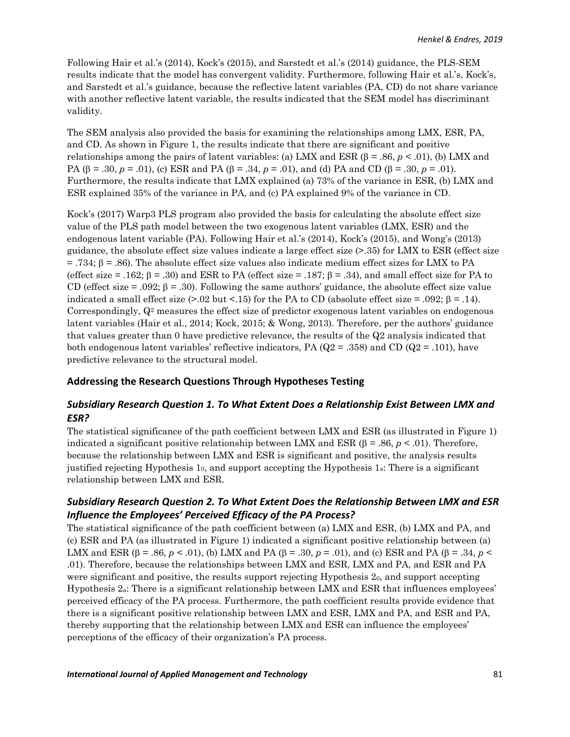Following Hair et al.'s (2014), Kock's (2015), and Sarstedt et al.'s (2014) guidance, the PLS-SEM results indicate that the model has convergent validity. Furthermore, following Hair et al.'s, Kock's, and Sarstedt et al.'s guidance, because the reflective latent variables (PA, CD) do not share variance with another reflective latent variable, the results indicated that the SEM model has discriminant validity.

The SEM analysis also provided the basis for examining the relationships among LMX, ESR, PA, and CD. As shown in Figure 1, the results indicate that there are significant and positive relationships among the pairs of latent variables: (a) LMX and ESR  $(\beta = .86, p < .01)$ , (b) LMX and PA ( $\beta$  = .30,  $p$  = .01), (c) ESR and PA ( $\beta$  = .34,  $p$  = .01), and (d) PA and CD ( $\beta$  = .30,  $p$  = .01). Furthermore, the results indicate that LMX explained (a) 73% of the variance in ESR, (b) LMX and ESR explained 35% of the variance in PA, and (c) PA explained 9% of the variance in CD.

Kock's (2017) Warp3 PLS program also provided the basis for calculating the absolute effect size value of the PLS path model between the two exogenous latent variables (LMX, ESR) and the endogenous latent variable (PA). Following Hair et al.'s (2014), Kock's (2015), and Wong's (2013) guidance, the absolute effect size values indicate a large effect size (>.35) for LMX to ESR (effect size  $= .734$ ;  $\beta = .86$ ). The absolute effect size values also indicate medium effect sizes for LMX to PA (effect size = .162;  $\beta$  = .30) and ESR to PA (effect size = .187;  $\beta$  = .34), and small effect size for PA to CD (effect size  $= .092$ ;  $\beta = .30$ ). Following the same authors' guidance, the absolute effect size value indicated a small effect size  $(>0.02 \text{ but } <15)$  for the PA to CD (absolute effect size = .092;  $\beta$  = .14). Correspondingly,  $Q<sup>2</sup>$  measures the effect size of predictor exogenous latent variables on endogenous latent variables (Hair et al., 2014; Kock, 2015; & Wong, 2013). Therefore, per the authors' guidance that values greater than 0 have predictive relevance, the results of the Q2 analysis indicated that both endogenous latent variables' reflective indicators, PA ( $Q2 = .358$ ) and CD ( $Q2 = .101$ ), have predictive relevance to the structural model.

### **Addressing the Research Questions Through Hypotheses Testing**

# *Subsidiary Research Question 1. To What Extent Does a Relationship Exist Between LMX and ESR?*

The statistical significance of the path coefficient between LMX and ESR (as illustrated in Figure 1) indicated a significant positive relationship between LMX and ESR ( $\beta$  = .86,  $p < .01$ ). Therefore, because the relationship between LMX and ESR is significant and positive, the analysis results justified rejecting Hypothesis 1 $_0$ , and support accepting the Hypothesis 1 $_4$ : There is a significant relationship between LMX and ESR.

# *Subsidiary Research Question 2. To What Extent Does the Relationship Between LMX and ESR Influence the Employees' Perceived Efficacy of the PA Process?*

The statistical significance of the path coefficient between (a) LMX and ESR, (b) LMX and PA, and (c) ESR and PA (as illustrated in Figure 1) indicated a significant positive relationship between (a) LMX and ESR ( $\beta$  = .86,  $p < .01$ ), (b) LMX and PA ( $\beta$  = .30,  $p = .01$ ), and (c) ESR and PA ( $\beta$  = .34,  $p <$ .01). Therefore, because the relationships between LMX and ESR, LMX and PA, and ESR and PA were significant and positive, the results support rejecting Hypothesis 20, and support accepting Hypothesis 2a: There is a significant relationship between LMX and ESR that influences employees' perceived efficacy of the PA process. Furthermore, the path coefficient results provide evidence that there is a significant positive relationship between LMX and ESR, LMX and PA, and ESR and PA, thereby supporting that the relationship between LMX and ESR can influence the employees' perceptions of the efficacy of their organization's PA process.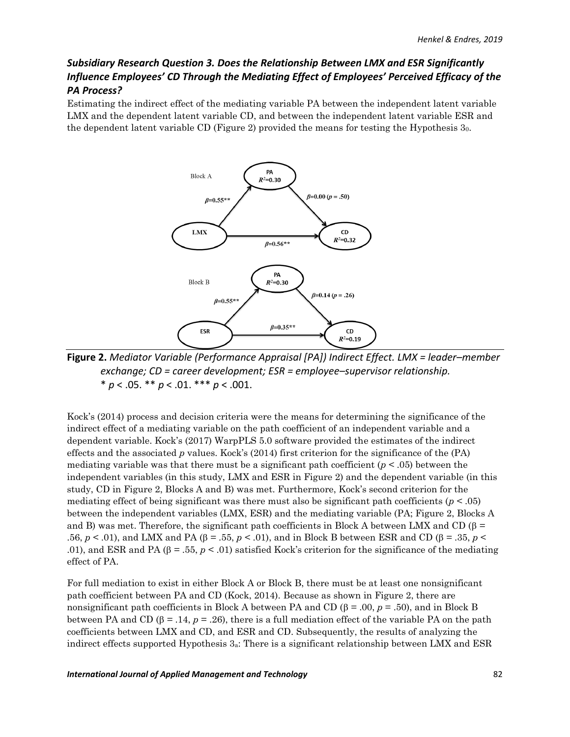# *Subsidiary Research Question 3. Does the Relationship Between LMX and ESR Significantly Influence Employees' CD Through the Mediating Effect of Employees' Perceived Efficacy of the PA Process?*

Estimating the indirect effect of the mediating variable PA between the independent latent variable LMX and the dependent latent variable CD, and between the independent latent variable ESR and the dependent latent variable CD (Figure 2) provided the means for testing the Hypothesis 30.



**Figure 2.** *Mediator Variable (Performance Appraisal [PA]) Indirect Effect. LMX = leader–member exchange; CD = career development; ESR = employee–supervisor relationship.* \* *p* < .05. \*\* *p* < .01. \*\*\* *p* < .001.

Kock's (2014) process and decision criteria were the means for determining the significance of the indirect effect of a mediating variable on the path coefficient of an independent variable and a dependent variable. Kock's (2017) WarpPLS 5.0 software provided the estimates of the indirect effects and the associated *p* values. Kock's (2014) first criterion for the significance of the (PA) mediating variable was that there must be a significant path coefficient  $(p < .05)$  between the independent variables (in this study, LMX and ESR in Figure 2) and the dependent variable (in this study, CD in Figure 2, Blocks A and B) was met. Furthermore, Kock's second criterion for the mediating effect of being significant was there must also be significant path coefficients (*p* < .05) between the independent variables (LMX, ESR) and the mediating variable (PA; Figure 2, Blocks A and B) was met. Therefore, the significant path coefficients in Block A between LMX and CD ( $\beta$  = .56,  $p < .01$ ), and LMX and PA ( $\beta = .55$ ,  $p < .01$ ), and in Block B between ESR and CD ( $\beta = .35$ ,  $p <$ .01), and ESR and PA ( $\beta$  = .55,  $p < .01$ ) satisfied Kock's criterion for the significance of the mediating effect of PA.

For full mediation to exist in either Block A or Block B, there must be at least one nonsignificant path coefficient between PA and CD (Kock, 2014). Because as shown in Figure 2, there are nonsignificant path coefficients in Block A between PA and CD ( $\beta$  = .00,  $p$  = .50), and in Block B between PA and CD  $(\beta = .14, p = .26)$ , there is a full mediation effect of the variable PA on the path coefficients between LMX and CD, and ESR and CD. Subsequently, the results of analyzing the indirect effects supported Hypothesis 3a: There is a significant relationship between LMX and ESR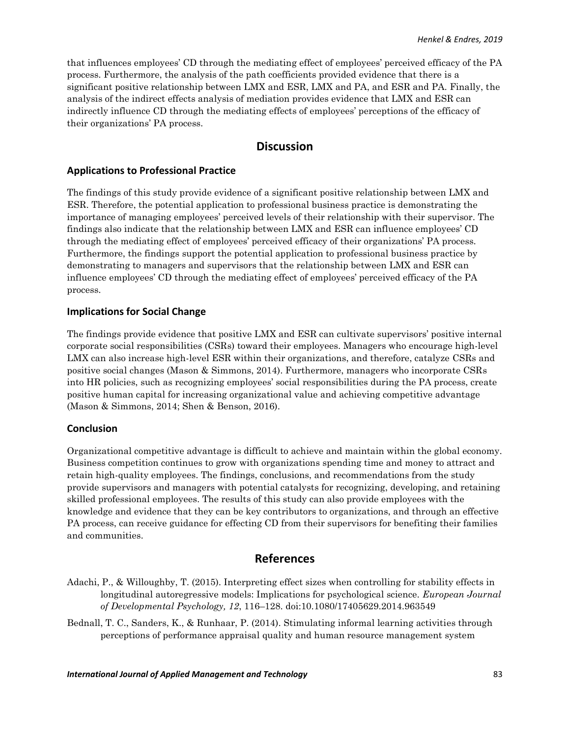that influences employees' CD through the mediating effect of employees' perceived efficacy of the PA process. Furthermore, the analysis of the path coefficients provided evidence that there is a significant positive relationship between LMX and ESR, LMX and PA, and ESR and PA. Finally, the analysis of the indirect effects analysis of mediation provides evidence that LMX and ESR can indirectly influence CD through the mediating effects of employees' perceptions of the efficacy of their organizations' PA process.

# **Discussion**

#### **Applications to Professional Practice**

The findings of this study provide evidence of a significant positive relationship between LMX and ESR. Therefore, the potential application to professional business practice is demonstrating the importance of managing employees' perceived levels of their relationship with their supervisor. The findings also indicate that the relationship between LMX and ESR can influence employees' CD through the mediating effect of employees' perceived efficacy of their organizations' PA process. Furthermore, the findings support the potential application to professional business practice by demonstrating to managers and supervisors that the relationship between LMX and ESR can influence employees' CD through the mediating effect of employees' perceived efficacy of the PA process.

### **Implications for Social Change**

The findings provide evidence that positive LMX and ESR can cultivate supervisors' positive internal corporate social responsibilities (CSRs) toward their employees. Managers who encourage high-level LMX can also increase high-level ESR within their organizations, and therefore, catalyze CSRs and positive social changes (Mason & Simmons, 2014). Furthermore, managers who incorporate CSRs into HR policies, such as recognizing employees' social responsibilities during the PA process, create positive human capital for increasing organizational value and achieving competitive advantage (Mason & Simmons, 2014; Shen & Benson, 2016).

### **Conclusion**

Organizational competitive advantage is difficult to achieve and maintain within the global economy. Business competition continues to grow with organizations spending time and money to attract and retain high-quality employees. The findings, conclusions, and recommendations from the study provide supervisors and managers with potential catalysts for recognizing, developing, and retaining skilled professional employees. The results of this study can also provide employees with the knowledge and evidence that they can be key contributors to organizations, and through an effective PA process, can receive guidance for effecting CD from their supervisors for benefiting their families and communities.

# **References**

Adachi, P., & Willoughby, T. (2015). Interpreting effect sizes when controlling for stability effects in longitudinal autoregressive models: Implications for psychological science. *European Journal of Developmental Psychology, 12*, 116–128. doi:10.1080/17405629.2014.963549

Bednall, T. C., Sanders, K., & Runhaar, P. (2014). Stimulating informal learning activities through perceptions of performance appraisal quality and human resource management system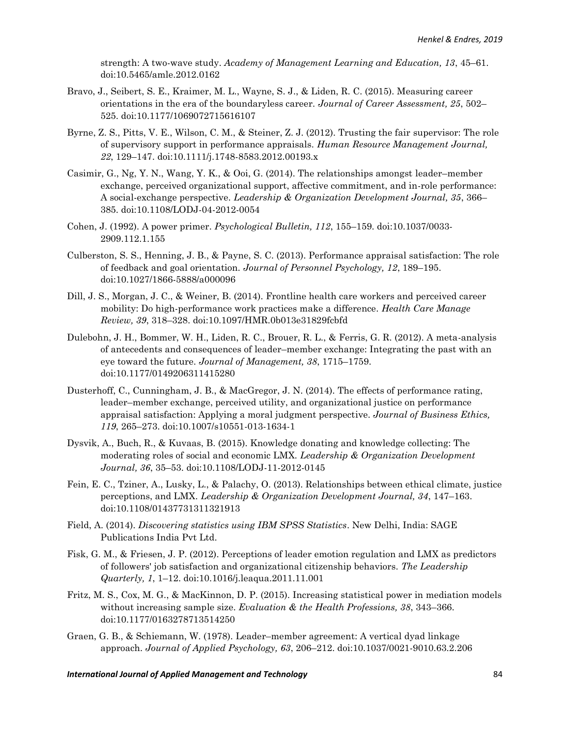strength: A two-wave study. *Academy of Management Learning and Education, 13*, 45–61. doi:10.5465/amle.2012.0162

- Bravo, J., Seibert, S. E., Kraimer, M. L., Wayne, S. J., & Liden, R. C. (2015). Measuring career orientations in the era of the boundaryless career. *Journal of Career Assessment, 25*, 502– 525. doi:10.1177/1069072715616107
- Byrne, Z. S., Pitts, V. E., Wilson, C. M., & Steiner, Z. J. (2012). Trusting the fair supervisor: The role of supervisory support in performance appraisals. *Human Resource Management Journal, 22*, 129–147. doi:10.1111/j.1748-8583.2012.00193.x
- Casimir, G., Ng, Y. N., Wang, Y. K., & Ooi, G. (2014). The relationships amongst leader–member exchange, perceived organizational support, affective commitment, and in-role performance: A social-exchange perspective. *Leadership & Organization Development Journal, 35*, 366– 385. doi:10.1108/LODJ-04-2012-0054
- Cohen, J. (1992). A power primer. *Psychological Bulletin, 112*, 155–159. doi:10.1037/0033- 2909.112.1.155
- Culberston, S. S., Henning, J. B., & Payne, S. C. (2013). Performance appraisal satisfaction: The role of feedback and goal orientation. *Journal of Personnel Psychology, 12*, 189–195. doi:10.1027/1866-5888/a000096
- Dill, J. S., Morgan, J. C., & Weiner, B. (2014). Frontline health care workers and perceived career mobility: Do high-performance work practices make a difference. *Health Care Manage Review, 39*, 318–328. doi:10.1097/HMR.0b013e31829fcbfd
- Dulebohn, J. H., Bommer, W. H., Liden, R. C., Brouer, R. L., & Ferris, G. R. (2012). A meta-analysis of antecedents and consequences of leader–member exchange: Integrating the past with an eye toward the future. *Journal of Management, 38*, 1715–1759. doi:10.1177/0149206311415280
- Dusterhoff, C., Cunningham, J. B., & MacGregor, J. N. (2014). The effects of performance rating, leader–member exchange, perceived utility, and organizational justice on performance appraisal satisfaction: Applying a moral judgment perspective. *Journal of Business Ethics, 119*, 265–273. doi:10.1007/s10551-013-1634-1
- Dysvik, A., Buch, R., & Kuvaas, B. (2015). Knowledge donating and knowledge collecting: The moderating roles of social and economic LMX. *Leadership & Organization Development Journal, 36*, 35–53. doi:10.1108/LODJ-11-2012-0145
- Fein, E. C., Tziner, A., Lusky, L., & Palachy, O. (2013). Relationships between ethical climate, justice perceptions, and LMX. *Leadership & Organization Development Journal, 34*, 147–163. doi:10.1108/01437731311321913
- Field, A. (2014). *Discovering statistics using IBM SPSS Statistics*. New Delhi, India: SAGE Publications India Pvt Ltd.
- Fisk, G. M., & Friesen, J. P. (2012). Perceptions of leader emotion regulation and LMX as predictors of followers' job satisfaction and organizational citizenship behaviors. *The Leadership Quarterly, 1*, 1–12. doi:10.1016/j.leaqua.2011.11.001
- Fritz, M. S., Cox, M. G., & MacKinnon, D. P. (2015). Increasing statistical power in mediation models without increasing sample size. *Evaluation & the Health Professions, 38*, 343–366. doi:10.1177/0163278713514250
- Graen, G. B., & Schiemann, W. (1978). Leader–member agreement: A vertical dyad linkage approach. *Journal of Applied Psychology, 63*, 206–212. doi:10.1037/0021-9010.63.2.206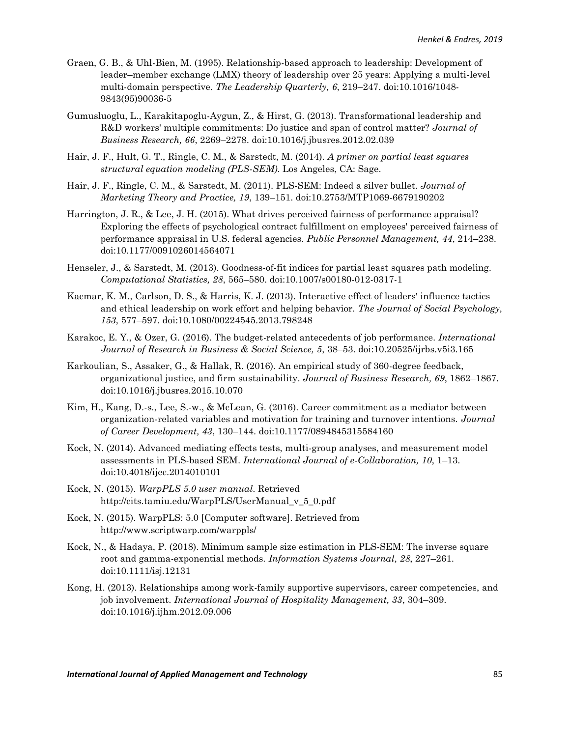- Graen, G. B., & Uhl-Bien, M. (1995). Relationship-based approach to leadership: Development of leader–member exchange (LMX) theory of leadership over 25 years: Applying a multi-level multi-domain perspective. *The Leadership Quarterly, 6*, 219–247. doi:10.1016/1048- 9843(95)90036-5
- Gumusluoglu, L., Karakitapoglu-Aygun, Z., & Hirst, G. (2013). Transformational leadership and R&D workers' multiple commitments: Do justice and span of control matter? *Journal of Business Research, 66*, 2269–2278. doi:10.1016/j.jbusres.2012.02.039
- Hair, J. F., Hult, G. T., Ringle, C. M., & Sarstedt, M. (2014). *A primer on partial least squares structural equation modeling (PLS-SEM)*. Los Angeles, CA: Sage.
- Hair, J. F., Ringle, C. M., & Sarstedt, M. (2011). PLS-SEM: Indeed a silver bullet. *Journal of Marketing Theory and Practice, 19*, 139–151. doi:10.2753/MTP1069-6679190202
- Harrington, J. R., & Lee, J. H. (2015). What drives perceived fairness of performance appraisal? Exploring the effects of psychological contract fulfillment on employees' perceived fairness of performance appraisal in U.S. federal agencies. *Public Personnel Management, 44*, 214–238. doi:10.1177/0091026014564071
- Henseler, J., & Sarstedt, M. (2013). Goodness-of-fit indices for partial least squares path modeling. *Computational Statistics, 28*, 565–580. doi:10.1007/s00180-012-0317-1
- Kacmar, K. M., Carlson, D. S., & Harris, K. J. (2013). Interactive effect of leaders' influence tactics and ethical leadership on work effort and helping behavior. *The Journal of Social Psychology, 153*, 577–597. doi:10.1080/00224545.2013.798248
- Karakoc, E. Y., & Ozer, G. (2016). The budget-related antecedents of job performance. *International Journal of Research in Business & Social Science, 5*, 38–53. doi:10.20525/ijrbs.v5i3.165
- Karkoulian, S., Assaker, G., & Hallak, R. (2016). An empirical study of 360-degree feedback, organizational justice, and firm sustainability. *Journal of Business Research, 69*, 1862–1867. doi:10.1016/j.jbusres.2015.10.070
- Kim, H., Kang, D.-s., Lee, S.-w., & McLean, G. (2016). Career commitment as a mediator between organization-related variables and motivation for training and turnover intentions. *Journal of Career Development, 43*, 130–144. doi:10.1177/0894845315584160
- Kock, N. (2014). Advanced mediating effects tests, multi-group analyses, and measurement model assessments in PLS-based SEM. *International Journal of e-Collaboration, 10*, 1–13. doi:10.4018/ijec.2014010101
- Kock, N. (2015). *WarpPLS 5.0 user manual*. Retrieved [http://cits.tamiu.edu/WarpPLS/UserManual\\_v\\_5\\_0.pdf](http://cits.tamiu.edu/WarpPLS/UserManual_v_5_0.pdf)
- Kock, N. (2015). WarpPLS: 5.0 [Computer software]. Retrieved from http://www.scriptwarp.com/warppls/
- Kock, N., & Hadaya, P. (2018). Minimum sample size estimation in PLS-SEM: The inverse square root and gamma-exponential methods. *Information Systems Journal, 28*, 227–261. doi:10.1111/isj.12131
- Kong, H. (2013). Relationships among work-family supportive supervisors, career competencies, and job involvement. *International Journal of Hospitality Management, 33*, 304–309. doi:10.1016/j.ijhm.2012.09.006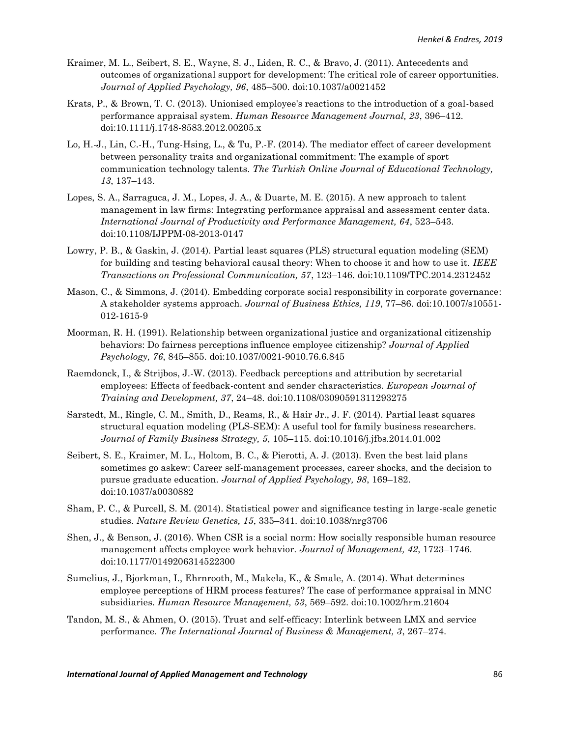- Kraimer, M. L., Seibert, S. E., Wayne, S. J., Liden, R. C., & Bravo, J. (2011). Antecedents and outcomes of organizational support for development: The critical role of career opportunities. *Journal of Applied Psychology, 96*, 485–500. doi:10.1037/a0021452
- Krats, P., & Brown, T. C. (2013). Unionised employee's reactions to the introduction of a goal-based performance appraisal system. *Human Resource Management Journal, 23*, 396–412. doi:10.1111/j.1748-8583.2012.00205.x
- Lo, H.-J., Lin, C.-H., Tung-Hsing, L., & Tu, P.-F. (2014). The mediator effect of career development between personality traits and organizational commitment: The example of sport communication technology talents. *The Turkish Online Journal of Educational Technology, 13*, 137–143.
- Lopes, S. A., Sarraguca, J. M., Lopes, J. A., & Duarte, M. E. (2015). A new approach to talent management in law firms: Integrating performance appraisal and assessment center data. *International Journal of Productivity and Performance Management, 64*, 523–543. doi:10.1108/IJPPM-08-2013-0147
- Lowry, P. B., & Gaskin, J. (2014). Partial least squares (PLS) structural equation modeling (SEM) for building and testing behavioral causal theory: When to choose it and how to use it. *IEEE Transactions on Professional Communication, 57*, 123–146. doi:10.1109/TPC.2014.2312452
- Mason, C., & Simmons, J. (2014). Embedding corporate social responsibility in corporate governance: A stakeholder systems approach. *Journal of Business Ethics, 119*, 77–86. doi:10.1007/s10551- 012-1615-9
- Moorman, R. H. (1991). Relationship between organizational justice and organizational citizenship behaviors: Do fairness perceptions influence employee citizenship? *Journal of Applied Psychology, 76*, 845–855. doi:10.1037/0021-9010.76.6.845
- Raemdonck, I., & Strijbos, J.-W. (2013). Feedback perceptions and attribution by secretarial employees: Effects of feedback-content and sender characteristics. *European Journal of Training and Development, 37*, 24–48. doi:10.1108/03090591311293275
- Sarstedt, M., Ringle, C. M., Smith, D., Reams, R., & Hair Jr., J. F. (2014). Partial least squares structural equation modeling (PLS-SEM): A useful tool for family business researchers. *Journal of Family Business Strategy, 5*, 105–115. doi:10.1016/j.jfbs.2014.01.002
- Seibert, S. E., Kraimer, M. L., Holtom, B. C., & Pierotti, A. J. (2013). Even the best laid plans sometimes go askew: Career self-management processes, career shocks, and the decision to pursue graduate education. *Journal of Applied Psychology, 98*, 169–182. doi:10.1037/a0030882
- Sham, P. C., & Purcell, S. M. (2014). Statistical power and significance testing in large-scale genetic studies. *Nature Review Genetics, 15*, 335–341. doi:10.1038/nrg3706
- Shen, J., & Benson, J. (2016). When CSR is a social norm: How socially responsible human resource management affects employee work behavior. *Journal of Management, 42*, 1723–1746. doi:10.1177/0149206314522300
- Sumelius, J., Bjorkman, I., Ehrnrooth, M., Makela, K., & Smale, A. (2014). What determines employee perceptions of HRM process features? The case of performance appraisal in MNC subsidiaries. *Human Resource Management, 53*, 569–592. doi:10.1002/hrm.21604
- Tandon, M. S., & Ahmen, O. (2015). Trust and self-efficacy: Interlink between LMX and service performance. *The International Journal of Business & Management, 3*, 267–274.